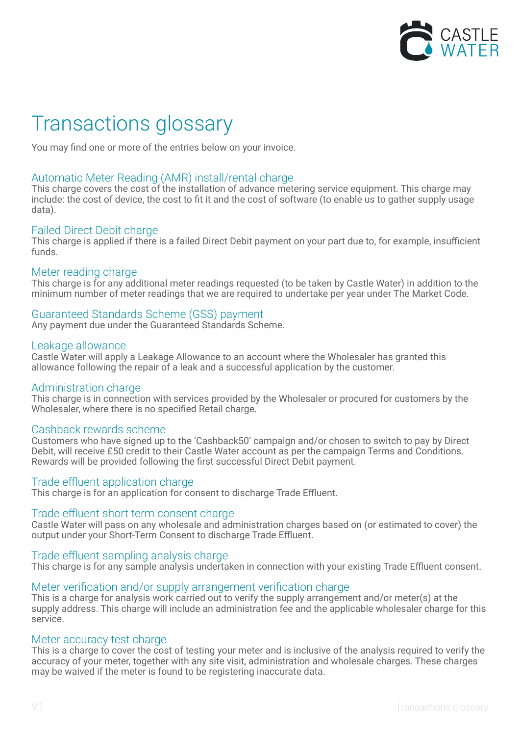

# Transactions glossary

You may find one or more of the entries below on your invoice.

# Automatic Meter Reading (AMR) install/rental charge

This charge covers the cost of the installation of advance metering service equipment. This charge may include: the cost of device, the cost to fit it and the cost of software (to enable us to gather supply usage data).

## Failed Direct Debit charge

This charge is applied if there is a failed Direct Debit payment on your part due to, for example, insufficient funds.

## Meter reading charge

This charge is for any additional meter readings requested (to be taken by Castle Water) in addition to the minimum number of meter readings that we are required to undertake per year under The Market Code.

# Guaranteed Standards Scheme (GSS) payment

Any payment due under the Guaranteed Standards Scheme.

## Leakage allowance

Castle Water will apply a Leakage Allowance to an account where the Wholesaler has granted this allowance following the repair of a leak and a successful application by the customer.

## Administration charge

This charge is in connection with services provided by the Wholesaler or procured for customers by the Wholesaler, where there is no specified Retail charge.

## Cashback rewards scheme

Customers who have signed up to the 'Cashback50' campaign and/or chosen to switch to pay by Direct Debit, will receive £50 credit to their Castle Water account as per the campaign Terms and Conditions. Rewards will be provided following the first successful Direct Debit payment.

## Trade effluent application charge

This charge is for an application for consent to discharge Trade Effluent.

## Trade effluent short term consent charge

Castle Water will pass on any wholesale and administration charges based on (or estimated to cover) the output under your Short-Term Consent to discharge Trade Effluent.

## Trade effluent sampling analysis charge

This charge is for any sample analysis undertaken in connection with your existing Trade Effluent consent.

## Meter verification and/or supply arrangement verification charge

This is a charge for analysis work carried out to verify the supply arrangement and/or meter(s) at the supply address. This charge will include an administration fee and the applicable wholesaler charge for this service.

## Meter accuracy test charge

This is a charge to cover the cost of testing your meter and is inclusive of the analysis required to verify the accuracy of your meter, together with any site visit, administration and wholesale charges. These charges may be waived if the meter is found to be registering inaccurate data.